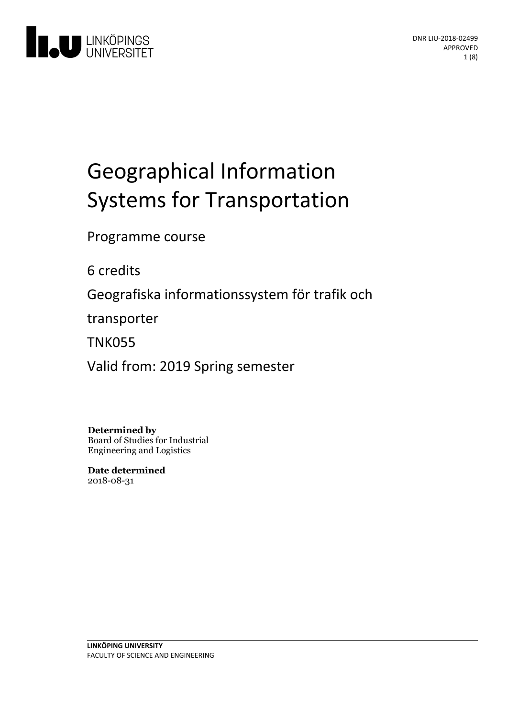

# Geographical Information Systems for Transportation

Programme course

6 credits

Geografiska informationssystem för trafik och

transporter

TNK055

Valid from: 2019 Spring semester

**Determined by** Board of Studies for Industrial Engineering and Logistics

**Date determined** 2018-08-31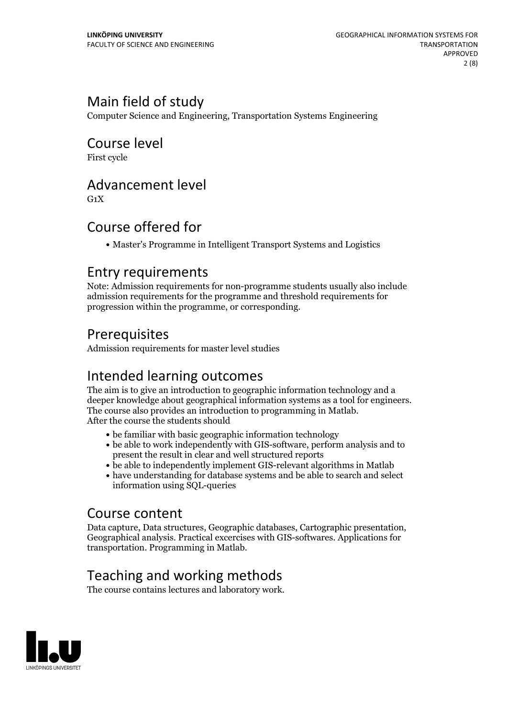# Main field of study

Computer Science and Engineering, Transportation Systems Engineering

Course level

First cycle

# Advancement level

 $G_1X$ 

# Course offered for

Master's Programme in Intelligent Transport Systems and Logistics

### Entry requirements

Note: Admission requirements for non-programme students usually also include admission requirements for the programme and threshold requirements for progression within the programme, or corresponding.

# Prerequisites

Admission requirements for master level studies

# Intended learning outcomes

The aim is to give an introduction to geographic information technology and a deeper knowledge about geographical information systems as <sup>a</sup> tool for engineers. The course also provides an introduction to programming in Matlab. After the course the students should

- be familiar with basic geographic information technology
- be able to work independently with GIS-software, perform analysis and to present the result in clear and well structured reports
- be able to independently implement GIS-relevant algorithms in Matlab
- have understanding for database systems and be able to search and select information using SQL-queries

### Course content

Data capture, Data structures, Geographic databases, Cartographic presentation, Geographical analysis. Practical excercises with GIS-softwares. Applications for transportation. Programming in Matlab.

# Teaching and working methods

The course contains lectures and laboratory work.

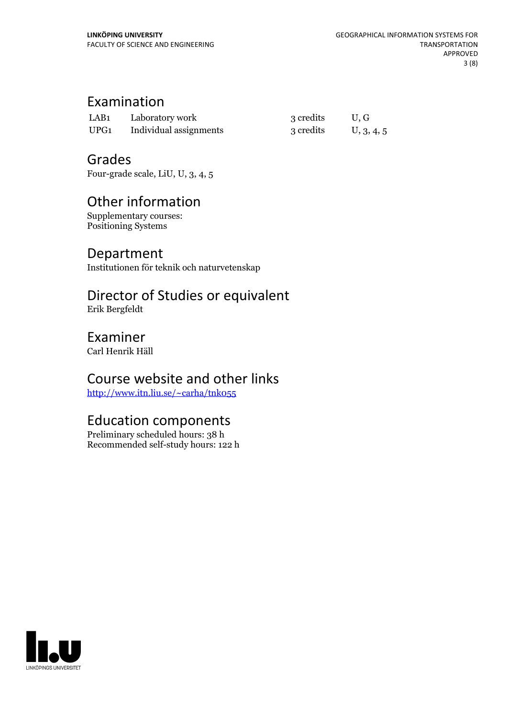# Examination

| LAB1 | Laboratory work        | 3 credits | U.G        |
|------|------------------------|-----------|------------|
| UPG1 | Individual assignments | 3 credits | U, 3, 4, 5 |

### Grades

Four-grade scale, LiU, U, 3, 4, 5

# Other information

Supplementary courses: Positioning Systems

### Department

Institutionen för teknik och naturvetenskap

# Director of Studies or equivalent

Erik Bergfeldt

### Examiner

Carl Henrik Häll

# Course website and other links

<http://www.itn.liu.se/~carha/tnk055>

# Education components

Preliminary scheduled hours: 38 h Recommended self-study hours: 122 h

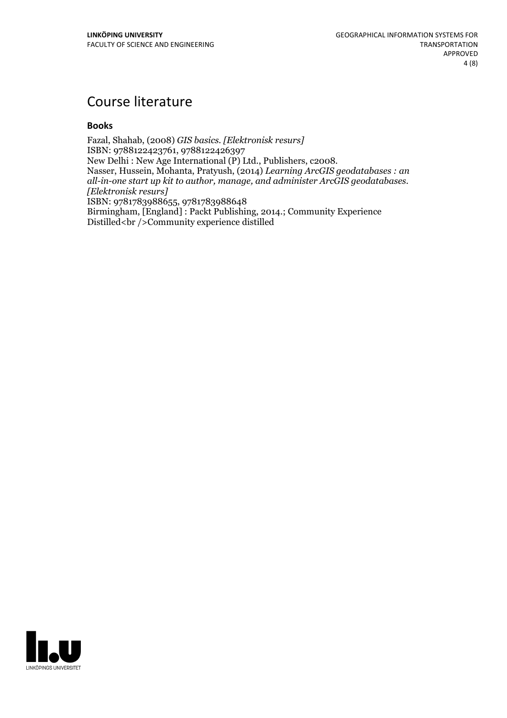# Course literature

### **Books**

Fazal, Shahab, (2008) *GIS basics. [Elektronisk resurs]* ISBN: 9788122423761, 9788122426397<br>New Delhi : New Age International (P) Ltd., Publishers, c2008. Nasser, Hussein, Mohanta, Pratyush, (2014) *Learning ArcGIS geodatabases* : *an all-in-one start up kit to author, manage, and administer ArcGIS geodatabases. [Elektronisk resurs]* ISBN: 9781783988655, 9781783988648 Birmingham, [England] : Packt Publishing, 2014.; Community Experience Distilled<br />Community experience distilled

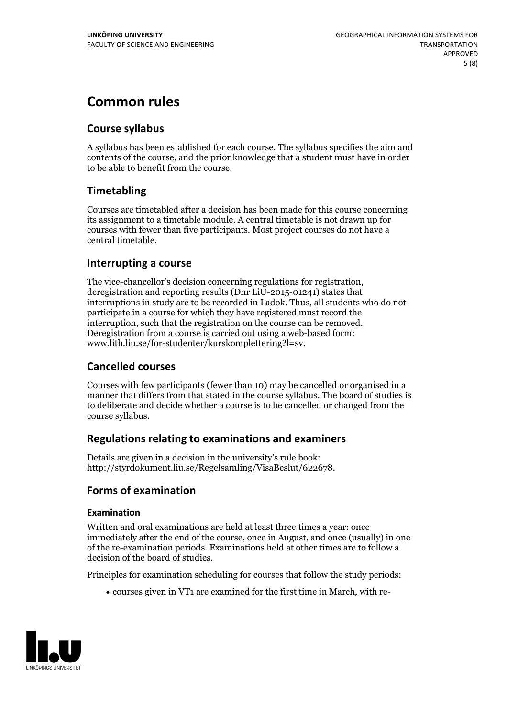# **Common rules**

### **Course syllabus**

A syllabus has been established for each course. The syllabus specifies the aim and contents of the course, and the prior knowledge that a student must have in order to be able to benefit from the course.

### **Timetabling**

Courses are timetabled after a decision has been made for this course concerning its assignment to a timetable module. A central timetable is not drawn up for courses with fewer than five participants. Most project courses do not have a central timetable.

### **Interrupting a course**

The vice-chancellor's decision concerning regulations for registration, deregistration and reporting results (Dnr LiU-2015-01241) states that interruptions in study are to be recorded in Ladok. Thus, all students who do not participate in a course for which they have registered must record the interruption, such that the registration on the course can be removed. Deregistration from <sup>a</sup> course is carried outusing <sup>a</sup> web-based form: www.lith.liu.se/for-studenter/kurskomplettering?l=sv.

### **Cancelled courses**

Courses with few participants (fewer than 10) may be cancelled or organised in a manner that differs from that stated in the course syllabus. The board of studies is to deliberate and decide whether a course is to be cancelled orchanged from the course syllabus.

### **Regulations relatingto examinations and examiners**

Details are given in a decision in the university's rule book: http://styrdokument.liu.se/Regelsamling/VisaBeslut/622678.

### **Forms of examination**

### **Examination**

Written and oral examinations are held at least three times a year: once immediately after the end of the course, once in August, and once (usually) in one of the re-examination periods. Examinations held at other times are to follow a decision of the board of studies.

Principles for examination scheduling for courses that follow the study periods:

courses given in VT1 are examined for the first time in March, with re-

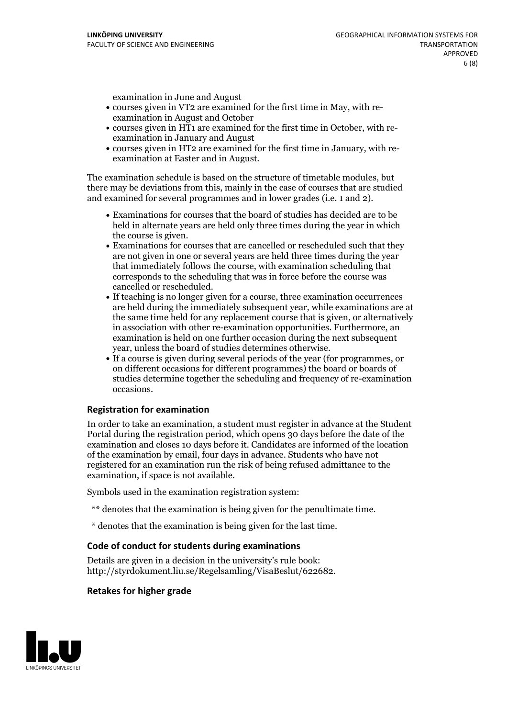examination in June and August

- courses given in VT2 are examined for the first time in May, with re-examination in August and October
- courses given in HT1 are examined for the first time in October, with re-examination in January and August
- courses given in HT2 are examined for the first time in January, with re-examination at Easter and in August.

The examination schedule is based on the structure of timetable modules, but there may be deviations from this, mainly in the case of courses that are studied and examined for several programmes and in lower grades (i.e. 1 and 2).

- Examinations for courses that the board of studies has decided are to be held in alternate years are held only three times during the year in which
- the course is given.<br>• Examinations for courses that are cancelled or rescheduled such that they are not given in one or several years are held three times during the year that immediately follows the course, with examination scheduling that corresponds to the scheduling that was in force before the course was cancelled or rescheduled.<br>• If teaching is no longer given for a course, three examination occurrences
- are held during the immediately subsequent year, while examinations are at the same time held for any replacement course that is given, or alternatively in association with other re-examination opportunities. Furthermore, an examination is held on one further occasion during the next subsequent year, unless the board of studies determines otherwise.<br>• If a course is given during several periods of the year (for programmes, or
- on different occasions for different programmes) the board orboards of studies determine together the scheduling and frequency of re-examination occasions.

### **Registration for examination**

In order to take an examination, a student must register in advance at the Student Portal during the registration period, which opens 30 days before the date of the examination and closes 10 days before it. Candidates are informed of the location of the examination by email, four days in advance. Students who have not registered for an examination run the risk of being refused admittance to the examination, if space is not available.

Symbols used in the examination registration system:

- \*\* denotes that the examination is being given for the penultimate time.
- \* denotes that the examination is being given for the last time.

#### **Code of conduct for students during examinations**

Details are given in a decision in the university's rule book: http://styrdokument.liu.se/Regelsamling/VisaBeslut/622682.

#### **Retakes for higher grade**

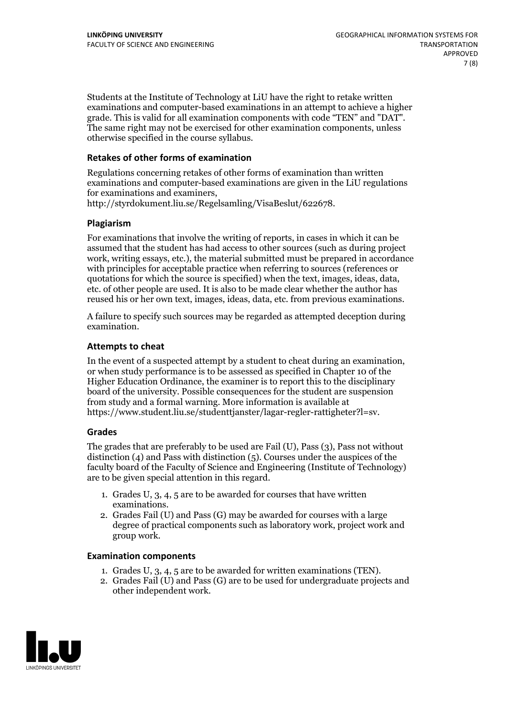Students at the Institute of Technology at LiU have the right to retake written examinations and computer-based examinations in an attempt to achieve a higher grade. This is valid for all examination components with code "TEN" and "DAT". The same right may not be exercised for other examination components, unless otherwise specified in the course syllabus.

#### **Retakes of other forms of examination**

Regulations concerning retakes of other forms of examination than written examinations and computer-based examinations are given in the LiU regulations for examinations and examiners, http://styrdokument.liu.se/Regelsamling/VisaBeslut/622678.

#### **Plagiarism**

For examinations that involve the writing of reports, in cases in which it can be assumed that the student has had access to other sources (such as during project work, writing essays, etc.), the material submitted must be prepared in accordance with principles for acceptable practice when referring to sources (references or quotations for which the source is specified) when the text, images, ideas, data, etc. of other people are used. It is also to be made clear whether the author has reused his or her own text, images, ideas, data, etc. from previous examinations.

A failure to specify such sources may be regarded as attempted deception during examination.

#### **Attempts to cheat**

In the event of <sup>a</sup> suspected attempt by <sup>a</sup> student to cheat during an examination, or when study performance is to be assessed as specified in Chapter <sup>10</sup> of the Higher Education Ordinance, the examiner is to report this to the disciplinary board of the university. Possible consequences for the student are suspension from study and a formal warning. More information is available at https://www.student.liu.se/studenttjanster/lagar-regler-rattigheter?l=sv.

#### **Grades**

The grades that are preferably to be used are Fail (U), Pass (3), Pass not without distinction  $(4)$  and Pass with distinction  $(5)$ . Courses under the auspices of the faculty board of the Faculty of Science and Engineering (Institute of Technology) are to be given special attention in this regard.

- 1. Grades U, 3, 4, 5 are to be awarded for courses that have written
- examinations. 2. Grades Fail (U) and Pass (G) may be awarded for courses with <sup>a</sup> large degree of practical components such as laboratory work, project work and group work.

#### **Examination components**

- 
- 1. Grades U, 3, 4, <sup>5</sup> are to be awarded for written examinations (TEN). 2. Grades Fail (U) and Pass (G) are to be used for undergraduate projects and other independent work.